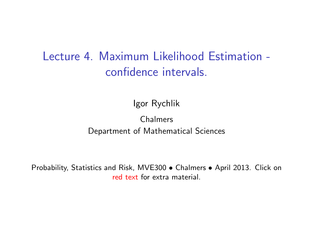## Lecture 4. Maximum Likelihood Estimation confidence intervals.

Igor Rychlik

#### Chalmers Department of Mathematical Sciences

Probability, Statistics and Risk, MVE300 • Chalmers • April 2013. Click on [red text](http://www.math.chalmers.se/Stat/Grundutb/CTH/mve300/1112/) for extra material.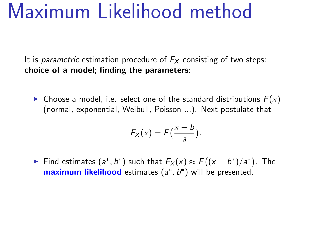## Maximum Likelihood method

It is *parametric* estimation procedure of  $F<sub>X</sub>$  consisting of two steps: choice of a model; finding the parameters:

• Choose a model, i.e. select one of the standard distributions  $F(x)$ (normal, exponential, Weibull, Poisson ...). Next postulate that

$$
F_X(x) = F\left(\frac{x-b}{a}\right).
$$

► Find estimates  $(a^*, b^*)$  such that  $F_X(x) \approx F((x - b^*)/a^*)$ . The maximum likelihood estimates (a<sup>\*</sup>, b<sup>\*</sup>) will be presented.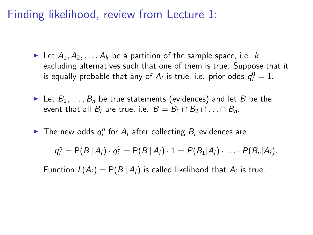Finding likelihood, review from Lecture 1:

- In Let  $A_1, A_2, \ldots, A_k$  be a partition of the sample space, i.e. k excluding alternatives such that one of them is true. Suppose that it is equally probable that any of  $A_i$  is true, i.e. prior odds  $q_i^0=1$ .
- In Let  $B_1, \ldots, B_n$  be true statements (evidences) and let B be the event that all  $B_i$  are true, i.e.  $B = B_1 \cap B_2 \cap ... \cap B_n$ .
- The new odds  $q_i^n$  for  $A_i$  after collecting  $B_i$  evidences are

$$
q_i^n = P(B | A_i) \cdot q_i^0 = P(B | A_i) \cdot 1 = P(B_1 | A_i) \cdot \ldots \cdot P(B_n | A_i).
$$

Function  $L(A_i) = P(B | A_i)$  is called likelihood that  $A_i$  is true.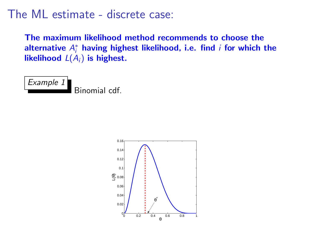## The ML estimate - discrete case:

The maximum likelihood method recommends to choose the alternative  $A_i^*$  having highest likelihood, i.e. find  $i$  for which the likelihood  $L(A_i)$  is highest.



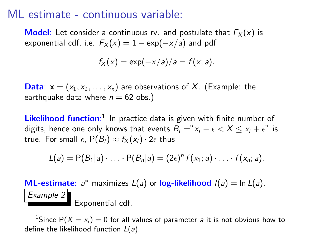## ML estimate - continuous variable:

**Model**: Let consider a continuous rv. and postulate that  $F_X(x)$  is exponential cdf, i.e.  $F_X(x) = 1 - \exp(-x/a)$  and pdf

$$
f_X(x) = \exp(-x/a)/a = f(x; a).
$$

**Data:**  $x = (x_1, x_2, \ldots, x_n)$  are observations of X. (Example: the earthquake data where  $n = 62$  obs.)

Likelihood function:<sup>1</sup> In practice data is given with finite number of digits, hence one only knows that events  $B_i = "x_i - \epsilon < X \le x_i + \epsilon"$  is true. For small  $\epsilon$ ,  $P(B_i) \approx f_X(x_i) \cdot 2\epsilon$  thus

$$
L(a) = P(B_1|a) \cdot \ldots \cdot P(B_n|a) = (2\epsilon)^n f(x_1; a) \cdot \ldots \cdot f(x_n; a).
$$

**ML-estimate:**  $a^*$  maximizes  $L(a)$  or log-likelihood  $I(a) = \ln L(a)$ . Example 2 Exponential cdf.

<sup>1</sup>Since P( $X = x_i$ ) = 0 for all values of parameter *a* it is not obvious how to define the likelihood function  $L(a)$ .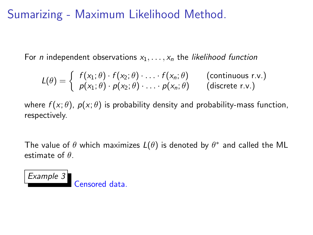## Sumarizing - Maximum Likelihood Method.

For *n* independent observations  $x_1, \ldots, x_n$  the likelihood function

$$
L(\theta) = \begin{cases} f(x_1; \theta) \cdot f(x_2; \theta) \cdot \ldots \cdot f(x_n; \theta) & \text{(continuous r.v.)} \\ p(x_1; \theta) \cdot p(x_2; \theta) \cdot \ldots \cdot p(x_n; \theta) & \text{(discrete r.v.)} \end{cases}
$$

where  $f(x; \theta)$ ,  $p(x; \theta)$  is probability density and probability-mass function, respectively.

The value of  $\theta$  which maximizes  $L(\theta)$  is denoted by  $\theta^*$  and called the ML estimate of  $\theta$ .

Example 3 Censored data.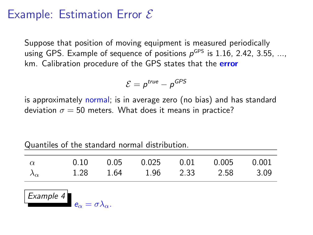## Example: Estimation Error  $\mathcal E$

Suppose that position of moving equipment is measured periodically using GPS. Example of sequence of positions  $\rho^{\text{\tiny GPS}}$  is 1.16, 2.42, 3.55, ..., km. Calibration procedure of the GPS states that the **error** 

$$
\mathcal{E}=p^{true}-p^{GPS}
$$

is approximately normal; is in average zero (no bias) and has standard deviation  $\sigma = 50$  meters. What does it means in practice?

| $\alpha$                                                            | 0.10 | 0.05 | 0.025 | 0.01 | 0.005 | 0.001 |  |  |
|---------------------------------------------------------------------|------|------|-------|------|-------|-------|--|--|
| $\lambda_\alpha$                                                    | 1.28 | 1.64 | 1.96  | 2.33 | 2.58  | 3.09  |  |  |
| $\vert$ Example 4<br>$\mathbf{e}_{\alpha}=\sigma\lambda_{\alpha}$ . |      |      |       |      |       |       |  |  |

Quantiles of the standard normal distribution.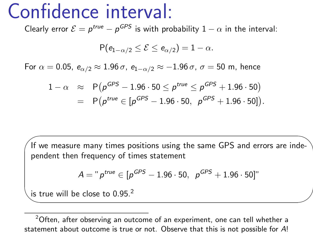## Confidence interval:

Clearly error  $\mathcal{E} = p^{\text{true}} - p^{\text{GPS}}$  is with probability  $1 - \alpha$  in the interval:

$$
\mathsf{P}(e_{1-\alpha/2}\leq \mathcal{E}\leq e_{\alpha/2})=1-\alpha.
$$

For  $\alpha = 0.05$ ,  $e_{\alpha/2} \approx 1.96 \sigma$ ,  $e_{1-\alpha/2} \approx -1.96 \sigma$ ,  $\sigma = 50$  m, hence

$$
1 - \alpha \approx P(p^{GPS} - 1.96 \cdot 50 \le p^{true} \le p^{GPS} + 1.96 \cdot 50)
$$
  
=  $P(p^{true} \in [p^{GPS} - 1.96 \cdot 50, p^{ GPS} + 1.96 \cdot 50]).$ 

If we measure many times positions using the same GPS and errors are independent then frequency of times statement

$$
A = "ptrue \in [pGPS - 1.96 \cdot 50, pGPS + 1.96 \cdot 50]"
$$

is true will be close to  $0.95<sup>2</sup>$ 

★

✧

 $2$ Often, after observing an outcome of an experiment, one can tell whether a statement about outcome is true or not. Observe that this is not possible for A!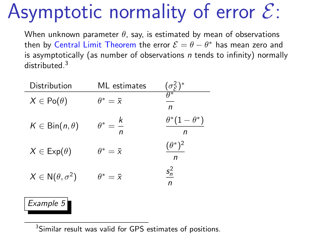# Asymptotic normality of error  $\mathcal{E}$ :

When unknown parameter  $\theta$ , say, is estimated by mean of observations then by Central Limit Theorem the error  $\mathcal{E} = \theta - \theta^*$  has mean zero and is asymptotically (as number of observations  $n$  tends to infinity) normally distributed.<sup>3</sup>

| Distribution                  | ML estimates             | $\frac{(\sigma_{\mathcal{E}}^2)^*}{\theta^*}$ |
|-------------------------------|--------------------------|-----------------------------------------------|
| $X \in Po(\theta)$            | $\theta^*=\bar{x}$       | n                                             |
| $K \in \text{Bin}(n, \theta)$ | $\theta^* = \frac{k}{n}$ | $\theta^*(1-\theta^*)$<br>n                   |
| $X \in \text{Exp}(\theta)$    | $\theta^* = \bar{x}$     | $(\theta^*)^2$<br>n                           |
| $X \in N(\theta, \sigma^2)$   | $\theta^*=\bar{x}$       | $s_n^2$<br>n                                  |

#### Example 5

<sup>3</sup>Similar result was valid for GPS estimates of positions.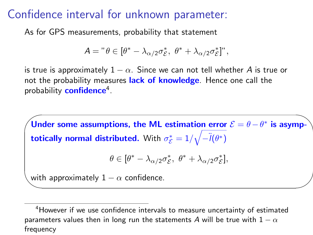## Confidence interval for unknown parameter:

As for GPS measurements, probability that statement

$$
A = " \theta \in [\theta^* - \lambda_{\alpha/2} \sigma_{\mathcal{E}}^*, \ \theta^* + \lambda_{\alpha/2} \sigma_{\mathcal{E}}^*]'',
$$

is true is approximately  $1 - \alpha$ . Since we can not tell whether A is true or not the probability measures lack of knowledge. Hence one call the probability **confidence**<sup>4</sup>.

✬ Under some assumptions, the ML estimation error  $\mathcal{E} = \theta - \theta^*$  is asymp- $\bf{totically}$  normal distributed. With  $\sigma_{\mathcal{E}}^{*}=1/\sqrt{-\ddot{l}(\theta^{*})}$ 

$$
\theta \in [\theta^* - \lambda_{\alpha/2} \sigma_{\mathcal{E}}^*, \ \theta^* + \lambda_{\alpha/2} \sigma_{\mathcal{E}}^*],
$$

with approximately  $1 - \alpha$  confidence.

✫

<sup>&</sup>lt;sup>4</sup>However if we use confidence intervals to measure uncertainty of estimated parameters values then in long run the statements A will be true with  $1 - \alpha$ frequency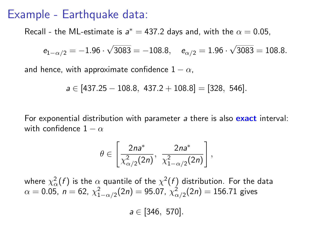### Example - Earthquake data:

Recall - the ML-estimate is  $a^* = 437.2$  days and, with the  $\alpha = 0.05$ ,

$$
e_{1-\alpha/2} = -1.96 \cdot \sqrt{3083} = -108.8
$$
,  $e_{\alpha/2} = 1.96 \cdot \sqrt{3083} = 108.8$ .

and hence, with approximate confidence  $1 - \alpha$ ,

$$
a \in [437.25 - 108.8, 437.2 + 108.8] = [328, 546].
$$

For exponential distribution with parameter a there is also exact interval: with confidence  $1 - \alpha$ 

$$
\theta\in\left[\frac{2na^*}{\chi^2_{\alpha/2}(2n)},\,\frac{2na^*}{\chi^2_{1-\alpha/2}(2n)}\right],
$$

where  $\chi^2_\alpha(f)$  is the  $\alpha$  quantile of the  $\chi^2(f)$  distribution. For the data  $\alpha=$  0.05,  $\,n=$  62,  $\,\chi^2_{1-\alpha/2}(2n)=$  95.07,  $\,\chi^2_{\alpha/2}(2n)=$  156.71 gives

 $a \in [346, 570]$ .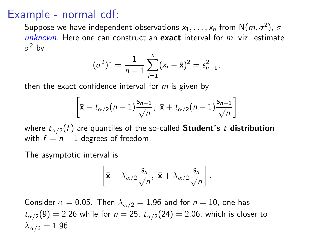## Example - normal cdf:

Suppose we have independent observations  $\mathsf{x}_1,\ldots,\mathsf{x}_n$  from  $\mathsf{N}(m,\sigma^2)$ ,  $\sigma$ unknown. Here one can construct an exact interval for  $m$ , viz. estimate  $\sigma^2$  by

$$
(\sigma^2)^* = \frac{1}{n-1} \sum_{i=1}^n (x_i - \bar{\mathbf{x}})^2 = s_{n-1}^2,
$$

then the exact confidence interval for  $m$  is given by

$$
\left[\bar{\mathbf{x}}-t_{\alpha/2}(n-1)\frac{s_{n-1}}{\sqrt{n}},\ \bar{\mathbf{x}}+t_{\alpha/2}(n-1)\frac{s_{n-1}}{\sqrt{n}}\right]
$$

where  $t_{\alpha/2}(f)$  are quantiles of the so-called **Student's t distribution** with  $f = n - 1$  degrees of freedom.

The asymptotic interval is

$$
\left[\bar{\mathbf{x}} - \lambda_{\alpha/2} \frac{s_n}{\sqrt{n}}, \ \bar{\mathbf{x}} + \lambda_{\alpha/2} \frac{s_n}{\sqrt{n}}\right].
$$

Consider  $\alpha = 0.05$ . Then  $\lambda_{\alpha/2} = 1.96$  and for  $n = 10$ , one has  $t_{\alpha/2}(9) = 2.26$  while for  $n = 25$ ,  $t_{\alpha/2}(24) = 2.06$ , which is closer to  $\lambda_{\alpha/2} = 1.96$ .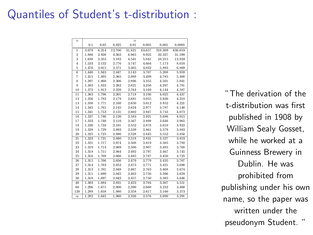## Quantiles of Student's t-distribution :

| $\overline{n}$ | 0.1   | 0.05  | 0.025  | $\alpha$<br>0.01 | 0.005  | 0.001   | 0.0005  |
|----------------|-------|-------|--------|------------------|--------|---------|---------|
|                |       |       |        |                  |        |         |         |
| $\mathbf{1}$   | 3.078 | 6.314 | 12.706 | 31.821           | 63.657 | 318,309 | 636.619 |
| $\overline{2}$ | 1.886 | 2.920 | 4.303  | 6.965            | 9.925  | 22.327  | 31.599  |
| 3              | 1.638 | 2.353 | 3.182  | 4.541            | 5.841  | 10.215  | 12.924  |
| $\frac{4}{3}$  | 1.533 | 2.132 | 2.776  | 3.747            | 4.604  | 7.173   | 8.610   |
| 5              | 1.476 | 2.015 | 2.571  | 3.365            | 4.032  | 5.893   | 6.869   |
| 6              | 1.440 | 1.943 | 2.447  | 3.143            | 3.707  | 5.208   | 5.959   |
| 7              | 1.415 | 1.895 | 2.365  | 2.998            | 3.499  | 4.785   | 5.408   |
| 8              | 1.397 | 1.860 | 2.306  | 2.896            | 3.355  | 4.501   | 5.041   |
| $\overline{9}$ | 1.383 | 1.833 | 2.262  | 2.821            | 3.250  | 4.297   | 4.781   |
| 10             | 1.372 | 1.812 | 2.228  | 2.764            | 3.169  | 4.144   | 4.587   |
| 11             | 1.363 | 1.796 | 2.201  | 2.718            | 3.106  | 4.025   | 4.437   |
| 12             | 1.356 | 1.782 | 2.179  | 2.681            | 3.055  | 3.930   | 4.318   |
| 13             | 1.350 | 1.771 | 2.160  | 2.650            | 3.012  | 3.852   | 4.221   |
| 14             | 1.345 | 1.761 | 2.145  | 2.624            | 2.977  | 3.787   | 4.140   |
| 15             | 1.341 | 1.753 | 2.131  | 2.602            | 2.947  | 3.733   | 4.073   |
| 16             | 1.337 | 1.746 | 2.120  | 2.583            | 2.921  | 3.686   | 4.015   |
| 17             | 1.333 | 1.740 | 2.110  | 2.567            | 2.898  | 3.646   | 3.965   |
| 18             | 1.330 | 1.734 | 2.101  | 2.552            | 2.878  | 3.610   | 3.922   |
| 19             | 1.328 | 1.729 | 2.093  | 2.539            | 2.861  | 3.579   | 3.883   |
| 20             | 1.325 | 1.725 | 2.086  | 2.528            | 2.845  | 3.552   | 3.850   |
| 21             | 1.323 | 1.721 | 2.080  | 2.518            | 2.831  | 3.527   | 3.819   |
| $^{22}$        | 1.321 | 1.717 | 2.074  | 2.508            | 2.819  | 3.505   | 3.792   |
| 23             | 1.319 | 1.714 | 2.069  | 2.500            | 2.807  | 3.485   | 3.768   |
| 24             | 1.318 | 1.711 | 2.064  | 2.492            | 2.797  | 3.467   | 3.745   |
| 25             | 1.316 | 1.708 | 2.060  | 2.485            | 2.787  | 3.450   | 3.725   |
| 26             | 1.315 | 1.706 | 2.056  | 2.479            | 2.779  | 3.435   | 3.707   |
| 27             | 1.314 | 1.703 | 2.052  | 2.473            | 2.771  | 3.421   | 3.690   |
| 28             | 1.313 | 1.701 | 2.048  | 2.467            | 2.763  | 3.408   | 3.674   |
| 29             | 1.311 | 1.699 | 2.045  | 2.462            | 2.756  | 3.396   | 3.659   |
| 30             | 1.310 | 1.697 | 2.042  | 2.457            | 2.750  | 3.385   | 3.646   |
| 40             | 1.303 | 1.684 | 2.021  | 2.423            | 2.704  | 3.307   | 3.551   |
| 60             | 1.296 | 1.671 | 2.000  | 2.390            | 2.660  | 3.232   | 3.460   |
| 120            | 1.289 | 1.658 | 1.980  | 2.358            | 2.617  | 3.160   | 3.373   |
| $\infty$       | 1.282 | 1.645 | 1.960  | 2.326            | 2.576  | 3,090   | 3.291   |

"The derivation of the t-distribution was first published in 1908 by William Sealy Gosset, while he worked at a Guinness Brewery in Dublin. He was prohibited from publishing under his own name, so the paper was written under the pseudonym Student. "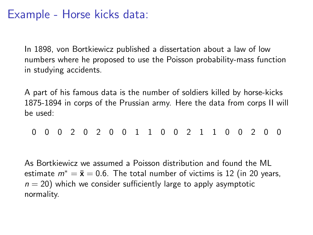## Example - Horse kicks data:

In 1898, von Bortkiewicz published a dissertation about a law of low numbers where he proposed to use the Poisson probability-mass function in studying accidents.

A part of his famous data is the number of soldiers killed by horse-kicks 1875-1894 in corps of the Prussian army. Here the data from corps II will be used:

0 0 0 2 0 2 0 0 1 1 0 0 2 1 1 0 0 2 0 0

As Bortkiewicz we assumed a Poisson distribution and found the ML estimate  $m^* = \bar{x} = 0.6$ . The total number of victims is 12 (in 20 years,  $n = 20$ ) which we consider sufficiently large to apply asymptotic normality.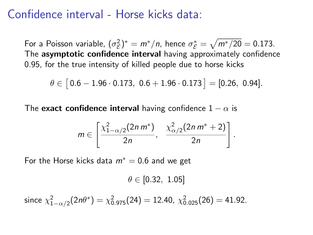## Confidence interval - Horse kicks data:

For a Poisson variable,  $(\sigma_{\mathcal{E}}^2)^* = m^*/n$ , hence  $\sigma_{\mathcal{E}}^* = \sqrt{m^*/20} = 0.173$ . The asymptotic confidence interval having approximately confidence 0.95, for the true intensity of killed people due to horse kicks

$$
\theta \in [\,0.6-1.96\cdot0.173,\,\,0.6+1.96\cdot0.173\,]=[\,0.26,\,\,0.94].
$$

The exact confidence interval having confidence  $1 - \alpha$  is

$$
m\in\left[\frac{\chi_{1-\alpha/2}^2(2n m^*)}{2n}, \frac{\chi_{\alpha/2}^2(2n m^*+2)}{2n}\right].
$$

For the Horse kicks data  $m^* = 0.6$  and we get

$$
\theta \in [0.32, 1.05]
$$

since  $\chi^2_{1-\alpha/2}(2n\theta^*) = \chi^2_{0.975}(24) = 12.40$ ,  $\chi^2_{0.025}(26) = 41.92$ .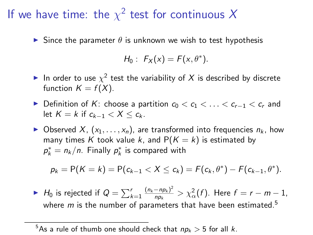## If we have time: the  $\chi^2$  test for continuous X

Since the parameter  $\theta$  is unknown we wish to test hypothesis

$$
H_0: F_X(x) = F(x, \theta^*).
$$

- In order to use  $\chi^2$  test the variability of X is described by discrete function  $K = f(X)$ .
- Definition of K: choose a partition  $c_0 < c_1 < \ldots < c_{r-1} < c_r$  and let  $K = k$  if  $c_{k-1} < X \leq c_k$ .
- $\triangleright$  Observed X,  $(x_1, \ldots, x_n)$ , are transformed into frequencies  $n_k$ , how many times K took value k, and  $P(K = k)$  is estimated by  $p_k^* = n_k/n$ . Finally  $p_k^*$  is compared with

$$
p_k = P(K = k) = P(c_{k-1} < X \leq c_k) = F(c_k, \theta^*) - F(c_{k-1}, \theta^*).
$$

▶ H<sub>0</sub> is rejected if  $Q = \sum_{k=1}^{r} \frac{(n_k - np_k)^2}{np_k}$  $\frac{(-np_k)^2}{np_k} > \chi^2_{\alpha}(f)$ . Here  $f = r - m - 1$ , where  $m$  is the number of parameters that have been estimated.<sup>5</sup>

<sup>&</sup>lt;sup>5</sup>As a rule of thumb one should check that  $np_k > 5$  for all k.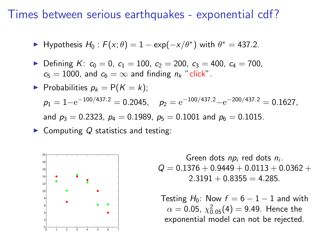### Times between serious earthquakes - exponential cdf?

- ► Hypothesis  $H_0$ :  $F(x;\theta) = 1 \exp(-x/\theta^*)$  with  $\theta^* = 437.2$ .
- Defining K:  $c_0 = 0$ ,  $c_1 = 100$ ,  $c_2 = 200$ ,  $c_3 = 400$ ,  $c_4 = 700$ ,  $c_5 = 1000$ , and  $c_6 = \infty$  and finding  $n_k$  "click".

► Probabilities 
$$
p_k = P(K = k)
$$
;  
\n $p_1 = 1 - e^{-100/437.2} = 0.2045$ ,  $p_2 = e^{-100/437.2} - e^{-200/437.2} = 0.1627$ ,  
\nand  $p_3 = 0.2323$ ,  $p_4 = 0.1989$ ,  $p_5 = 0.1001$  and  $p_6 = 0.1015$ .

Computing  $Q$  statistics and testing:



Green dots  $np_i$  red dots  $n_i$ .  $Q = 0.1376 + 0.9449 + 0.0113 + 0.0362 +$  $2.3191 + 0.8355 = 4.285$ .

Testing  $H_0$ : Now  $f = 6 - 1 - 1$  and with  $\alpha =$  0.05,  $\chi_{0.05}^2(4) =$  9.49. Hence the exponential model can not be rejected.